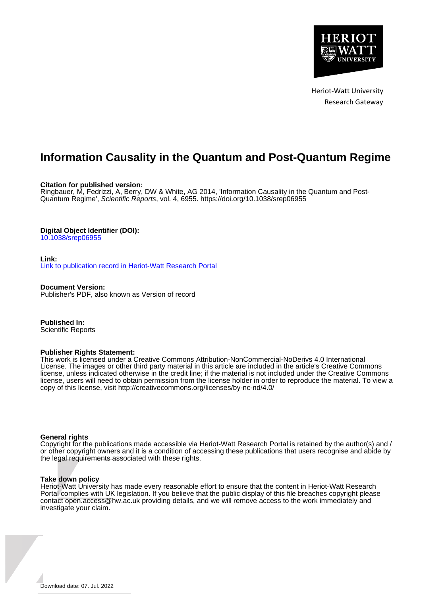

Heriot-Watt University Research Gateway

### **Information Causality in the Quantum and Post-Quantum Regime**

**Citation for published version:**

Ringbauer, M, Fedrizzi, A, Berry, DW & White, AG 2014, 'Information Causality in the Quantum and Post-Quantum Regime', Scientific Reports, vol. 4, 6955.<https://doi.org/10.1038/srep06955>

### **Digital Object Identifier (DOI):**

[10.1038/srep06955](https://doi.org/10.1038/srep06955)

**Link:** [Link to publication record in Heriot-Watt Research Portal](https://researchportal.hw.ac.uk/en/publications/992f0b28-5de5-4ae8-95a4-fcd345c8b058)

**Document Version:** Publisher's PDF, also known as Version of record

**Published In:** Scientific Reports

### **Publisher Rights Statement:**

This work is licensed under a Creative Commons Attribution-NonCommercial-NoDerivs 4.0 International License. The images or other third party material in this article are included in the article's Creative Commons license, unless indicated otherwise in the credit line; if the material is not included under the Creative Commons license, users will need to obtain permission from the license holder in order to reproduce the material. To view a copy of this license, visit http://creativecommons.org/licenses/by-nc-nd/4.0/

### **General rights**

Copyright for the publications made accessible via Heriot-Watt Research Portal is retained by the author(s) and / or other copyright owners and it is a condition of accessing these publications that users recognise and abide by the legal requirements associated with these rights.

### **Take down policy**

Heriot-Watt University has made every reasonable effort to ensure that the content in Heriot-Watt Research Portal complies with UK legislation. If you believe that the public display of this file breaches copyright please contact open.access@hw.ac.uk providing details, and we will remove access to the work immediately and investigate your claim.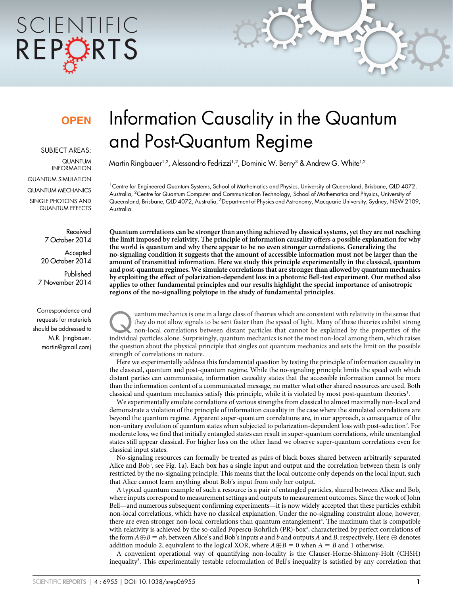# SCIENTIFIC REPCRTS

## **OPFN**

SUBJECT AREAS: QUANTUM INFORMATION

QUANTUM SIMULATION

QUANTUM MECHANICS SINGLE PHOTONS AND QUANTUM EFFECTS

> Received 7 October 2014

**Accepted** 20 October 2014 Published 7 November 2014

Correspondence and requests for materials should be addressed to M.R. (ringbauer. martin@gmail.com)

# Information Causality in the Quantum and Post-Quantum Regime

Martin Ringbauer<sup>1,2</sup>, Alessandro Fedrizzi<sup>1,2</sup>, Dominic W. Berry<sup>3</sup> & Andrew G. White<sup>1,2</sup>

1 Centre for Engineered Quantum Systems, School of Mathematics and Physics, University of Queensland, Brisbane, QLD 4072, Australia, <sup>2</sup>Centre for Quantum Computer and Communication Technology, School of Mathematics and Physics, University of Queensland, Brisbane, QLD 4072, Australia, <sup>3</sup>Department of Physics and Astronomy, Macquarie University, Sydney, NSW 2109, Australia.

Quantum correlations can be stronger than anything achieved by classical systems, yet they are not reaching the limit imposed by relativity. The principle of information causality offers a possible explanation for why the world is quantum and why there appear to be no even stronger correlations. Generalizing the no-signaling condition it suggests that the amount of accessible information must not be larger than the amount of transmitted information. Here we study this principle experimentally in the classical, quantum and post-quantum regimes. We simulate correlations that are stronger than allowed by quantum mechanics by exploiting the effect of polarization-dependent loss in a photonic Bell-test experiment. Our method also applies to other fundamental principles and our results highlight the special importance of anisotropic regions of the no-signalling polytope in the study of fundamental principles.

uantum mechanics is one in a large class of theories which are consistent with relativity in the sense that<br>they do not allow signals to be sent faster than the speed of light. Many of these theories exhibit strong<br>non-loc they do not allow signals to be sent faster than the speed of light. Many of these theories exhibit strong non-local correlations between distant particles that cannot be explained by the properties of the individual particles alone. Surprisingly, quantum mechanics is not the most non-local among them, which raises the question about the physical principle that singles out quantum mechanics and sets the limit on the possible strength of correlations in nature.

Here we experimentally address this fundamental question by testing the principle of information causality in the classical, quantum and post-quantum regime. While the no-signaling principle limits the speed with which distant parties can communicate, information causality states that the accessible information cannot be more than the information content of a communicated message, no matter what other shared resources are used. Both classical and quantum mechanics satisfy this principle, while it is violated by most post-quantum theories<sup>1</sup>.

We experimentally emulate correlations of various strengths from classical to almost maximally non-local and demonstrate a violation of the principle of information causality in the case where the simulated correlations are beyond the quantum regime. Apparent super-quantum correlations are, in our approach, a consequence of the non-unitary evolution of quantum states when subjected to polarization-dependent loss with post-selection<sup>2</sup>. For moderate loss, we find that initially entangled states can result in super-quantum correlations, while unentangled states still appear classical. For higher loss on the other hand we observe super-quantum correlations even for classical input states.

No-signaling resources can formally be treated as pairs of black boxes shared between arbitrarily separated Alice and Bob<sup>3</sup>, see Fig. 1a). Each box has a single input and output and the correlation between them is only restricted by the no-signaling principle. This means that the local outcome only depends on the local input, such that Alice cannot learn anything about Bob's input from only her output.

A typical quantum example of such a resource is a pair of entangled particles, shared between Alice and Bob, where inputs correspond to measurement settings and outputs to measurement outcomes. Since the work of John Bell—and numerous subsequent confirming experiments—it is now widely accepted that these particles exhibit non-local correlations, which have no classical explanation. Under the no-signaling constraint alone, however, there are even stronger non-local correlations than quantum entanglement<sup>4</sup>. The maximum that is compatible with relativity is achieved by the so-called Popescu-Rohrlich (PR)-box<sup>4</sup>, characterized by perfect correlations of the form  $A\oplus B = ab$ , between Alice's and Bob's inputs a and b and outputs A and B, respectively. Here  $\oplus$  denotes addition modulo 2, equivalent to the logical XOR, where  $A \oplus B = 0$  when  $A = B$  and 1 otherwise.

A convenient operational way of quantifying non-locality is the Clauser-Horne-Shimony-Holt (CHSH) inequality<sup>5</sup>. This experimentally testable reformulation of Bell's inequality is satisfied by any correlation that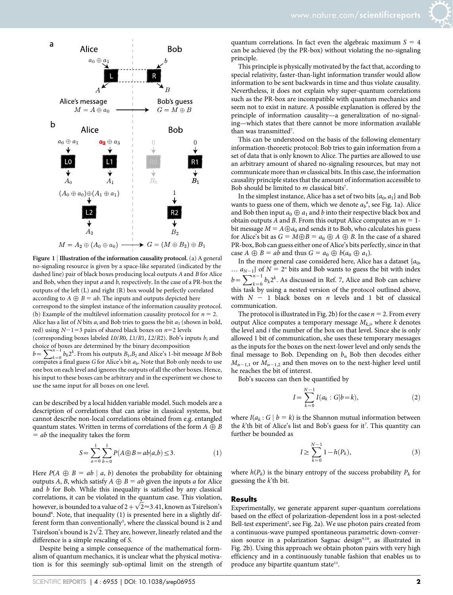

Figure 1 | Illustration of the information causality protocol. (a) A general no-signaling resource is given by a space-like separated (indicated by the dashed line) pair of black boxes producing local outputs A and B for Alice and Bob, when they input  $a$  and  $b$ , respectively. In the case of a PR-box the outputs of the left (L) and right (R) box would be perfectly correlated according to  $A \oplus B = ab$ . The inputs and outputs depicted here correspond to the simplest instance of the information causality protocol. (b) Example of the multilevel information causality protocol for  $n = 2$ . Alice has a list of N bits  $a_i$  and Bob tries to guess the bit  $a_3$  (shown in bold, red) using  $N-1=3$  pairs of shared black boxes on  $n=2$  levels (corresponding boxes labeled  $L$ 0/R0,  $L$ 1/R1,  $L$ 2/R2). Bob's inputs  $b_i$  and choice of boxes are determined by the binary decomposition

thore or  $b=\sum_{k=0}^{n-1} b_k 2^k$ . From his outputs  $B_1, B_2$  and Alice's 1-bit message M Bob computes a final guess G for Alice's bit  $a<sub>b</sub>$ . Note that Bob only needs to use one box on each level and ignores the outputs of all the other boxes. Hence, his input to these boxes can be arbitrary and in the experiment we chose to use the same input for all boxes on one level.

can be described by a local hidden variable model. Such models are a description of correlations that can arise in classical systems, but cannot describe non-local correlations obtained from e.g. entangled quantum states. Written in terms of correlations of the form  $A \oplus B$  $=$  ab the inequality takes the form

$$
S = \sum_{a=0}^{1} \sum_{b=0}^{1} P(A \oplus B = ab | a, b) \le 3.
$$
 (1)

Here  $P(A \oplus B = ab \mid a, b)$  denotes the probability for obtaining outputs A, B, which satisfy  $A \oplus B = ab$  given the inputs a for Alice and b for Bob. While this inequality is satisfied by any classical correlations, it can be violated in the quantum case. This violation,  $\frac{1}{100}$  correlations, it can be violated in the quantum case. This violation, bound<sup>6</sup>. Note, that inequality (1) is presented here in a slightly different form than conventionally<sup>5</sup>, where the classical bound is 2 and erent form than conventionally , where the classical bound is 2 and<br>Tsirelson's bound is  $2\sqrt{2}$ . They are, however, linearly related and the difference is a simple rescaling of S.

Despite being a simple consequence of the mathematical formalism of quantum mechanics, it is unclear what the physical motivation is for this seemingly sub-optimal limit on the strength of quantum correlations. In fact even the algebraic maximum  $S = 4$ can be achieved (by the PR-box) without violating the no-signaling principle.

This principle is physically motivated by the fact that, according to special relativity, faster-than-light information transfer would allow information to be sent backwards in time and thus violate causality. Nevertheless, it does not explain why super-quantum correlations such as the PR-box are incompatible with quantum mechanics and seem not to exist in nature. A possible explanation is offered by the principle of information causality—a generalization of no-signaling—which states that there cannot be more information available than was transmitted<sup>7</sup>.

This can be understood on the basis of the following elementary information-theoretic protocol: Bob tries to gain information from a set of data that is only known to Alice. The parties are allowed to use an arbitrary amount of shared no-signaling resources, but may not communicate more than m classical bits. In this case, the information causality principle states that the amount of information accessible to Bob should be limited to  $m$  classical bits<sup>7</sup>.

In the simplest instance, Alice has a set of two bits  $\{a_0, a_1\}$  and Bob wants to guess one of them, which we denote  $a_b^s$ , see Fig. 1a). Alice and Bob then input  $a_0 \oplus a_1$  and b into their respective black box and obtain outputs A and B. From this output Alice computes an  $m = 1$ bit message  $M = A \bigoplus a_0$  and sends it to Bob, who calculates his guess for Alice's bit as  $G = M \oplus B = a_0 \oplus A \oplus B$ . In the case of a shared PR-box, Bob can guess either one of Alice's bits perfectly, since in that case  $A \oplus B = ab$  and thus  $G = a_0 \oplus b(a_0 \oplus a_1)$ .

In the more general case considered here, Alice has a dataset  $\{a_0,$ ...  $a_{N-1}$ } of  $N = 2^n$  bits and Bob wants to guess the bit with index  $b=\sum_{k=0}^{N-1} b_k 2^k$ . As discussed in Ref. 7, Alice and Bob can achieve this task by using a nested version of the protocol outlined above, with  $N - 1$  black boxes on n levels and 1 bit of classical communication.

The protocol is illustrated in Fig. 2b) for the case  $n = 2$ . From every output Alice computes a temporary message  $M_{k,i}$ , where k denotes the level and i the number of the box on that level. Since she is only allowed 1 bit of communication, she uses these temporary messages as the inputs for the boxes on the next-lower level and only sends the final message to Bob. Depending on  $b_n$  Bob then decodes either  $M_{n-1,1}$  or  $M_{n-1,2}$  and then moves on to the next-higher level until he reaches the bit of interest.

Bob's success can then be quantified by

$$
I = \sum_{k=0}^{N-1} I(a_k : G | b = k),
$$
 (2)

where  $I(a_k : G | b = k)$  is the Shannon mutual information between the  $k$ <sup>th</sup> bit of Alice's list and Bob's guess for it<sup>7</sup>. This quantity can further be bounded as

$$
I \ge \sum_{k=0}^{N-1} 1 - h(P_k),
$$
\n(3)

where  $h(P_k)$  is the binary entropy of the success probability  $P_k$  for guessing the  $k$ <sup>th</sup> bit.

### **Results**

Experimentally, we generate apparent super-quantum correlations based on the effect of polarization-dependent loss in a post-selected Bell-test experiment<sup>2</sup>, see Fig. 2a). We use photon pairs created from a continuous-wave pumped spontaneous parametric down-conversion source in a polarization Sagnac design<sup>9,10</sup>, as illustrated in Fig. 2b). Using this approach we obtain photon pairs with very high efficiency and in a continuously tunable fashion that enables us to produce any bipartite quantum state<sup>11</sup>.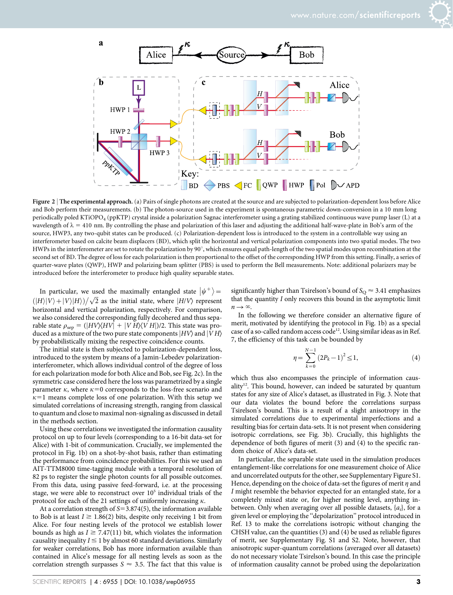

Figure 2 | The experimental approach. (a) Pairs of single photons are created at the source and are subjected to polarization-dependent loss before Alice and Bob perform their measurements. (b) The photon-source used in the experiment is spontaneous parametric down-conversion in a 10 mm long periodically poled KTiOPO<sub>4</sub> (ppKTP) crystal inside a polarization Sagnac interferometer using a grating stabilized continuous wave pump laser (L) at a wavelength of  $\lambda = 410$  nm. By controlling the phase and polarization of this laser and adjusting the additional half-wave-plate in Bob's arm of the source, HWP3, any two-qubit states can be produced. (c) Polarization-dependent loss is introduced to the system in a controllable way using an interferometer based on calcite beam displacers (BD), which split the horizontal and vertical polarization components into two spatial modes. The two HWPs in the interferometer are set to rotate the polarization by  $90^\circ$ , which ensures equal path-length of the two spatial modes upon recombination at the second set of BD. The degree of loss for each polarization is then proportional to the offset of the corresponding HWP from this setting. Finally, a series of quarter-wave plates (QWP), HWP and polarizing beam splitter (PBS) is used to perform the Bell measurements. Note: additional polarizers may be introduced before the interferometer to produce high quality separable states.

In particular, we used the maximally entangled state  $|\psi^+\rangle =$  $\frac{d\mathbf{F}}{dt}$  (|H||V) + |V||H))  $\sqrt{2}$  as the initial state, where |H/V) represent horizontal and vertical polarization, respectively. For comparison, we also considered the corresponding fully decohered and thus separable state  $\rho_{\rm sep} = (|HV\rangle\langle HV| + |VH\rangle\langle VH|)/2$ . This state was produced as a mixture of the two pure state components  $|HV\rangle$  and  $|VH\rangle$ by probabilistically mixing the respective coincidence counts.

The initial state is then subjected to polarization-dependent loss, introduced to the system by means of a Jamin-Lebedev polarizationinterferometer, which allows individual control of the degree of loss for each polarization mode for both Alice and Bob, see Fig. 2c). In the symmetric case considered here the loss was parametrized by a single parameter  $\kappa$ , where  $\kappa=0$  corresponds to the loss-free scenario and  $\kappa=1$  means complete loss of one polarization. With this setup we simulated correlations of increasing strength, ranging from classical to quantum and close to maximal non-signaling as discussed in detail in the methods section.

Using these correlations we investigated the information causality protocol on up to four levels (corresponding to a 16-bit data-set for Alice) with 1-bit of communication. Crucially, we implemented the protocol in Fig. 1b) on a shot-by-shot basis, rather than estimating the performance from coincidence probabilities. For this we used an AIT-TTM8000 time-tagging module with a temporal resolution of 82 ps to register the single photon counts for all possible outcomes. From this data, using passive feed-forward, i.e. at the processing stage, we were able to reconstruct over  $10<sup>5</sup>$  individual trials of the protocol for each of the 21 settings of uniformly increasing  $\kappa$ .

At a correlation strength of  $S=3.874(5)$ , the information available to Bob is at least  $I \ge 1.86(2)$  bits, despite only receiving 1 bit from Alice. For four nesting levels of the protocol we establish lower bounds as high as  $I \geq 7.47(11)$  bit, which violates the information causality inequality  $I \leq 1$  by almost 60 standard deviations. Similarly for weaker correlations, Bob has more information available than contained in Alice's message for all nesting levels as soon as the correlation strength surpasses  $S \approx 3.5$ . The fact that this value is

significantly higher than Tsirelson's bound of  $S_{\Omega} \approx 3.41$  emphasizes that the quantity I only recovers this bound in the asymptotic limit  $n \rightarrow \infty$ .

In the following we therefore consider an alternative figure of merit, motivated by identifying the protocol in Fig. 1b) as a special case of a so-called random access code<sup>12</sup>. Using similar ideas as in Ref. 7, the efficiency of this task can be bounded by

$$
\eta = \sum_{k=0}^{N-1} (2P_k - 1)^2 \le 1,\tag{4}
$$

which thus also encompasses the principle of information caus- $\text{ality}^{12}$ . This bound, however, can indeed be saturated by quantum states for any size of Alice's dataset, as illustrated in Fig. 3. Note that our data violates the bound before the correlations surpass Tsirelson's bound. This is a result of a slight anisotropy in the simulated correlations due to experimental imperfections and a resulting bias for certain data-sets. It is not present when considering isotropic correlations, see Fig. 3b). Crucially, this highlights the dependence of both figures of merit (3) and (4) to the specific random choice of Alice's data-set.

In particular, the separable state used in the simulation produces entanglement-like correlations for one measurement choice of Alice and uncorrelated outputs for the other, see Supplementary Figure S1. Hence, depending on the choice of data-set the figures of merit  $\eta$  and I might resemble the behavior expected for an entangled state, for a completely mixed state or, for higher nesting level, anything inbetween. Only when averaging over all possible datasets,  $\{a_i\}$ , for a given level or employing the ''depolarization'' protocol introduced in Ref. 13 to make the correlations isotropic without changing the CHSH value, can the quantities (3) and (4) be used as reliable figures of merit, see Supplementary Fig. S1 and S2. Note, however, that anisotropic super-quantum correlations (averaged over all datasets) do not necessary violate Tsirelson's bound. In this case the principle of information causality cannot be probed using the depolarization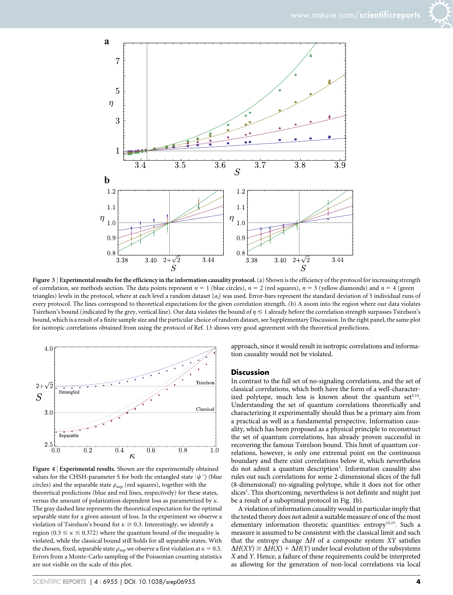



Figure 3 | Experimental results for the efficiency in the information causality protocol. (a) Shown is the efficiency of the protocol for increasing strength of correlation, see methods section. The data points represent  $n = 1$  (blue circles),  $n = 2$  (red squares),  $n = 3$  (yellow diamonds) and  $n = 4$  (green triangles) levels in the protocol, where at each level a random dataset  $\{a_i\}$  was used. Error-bars represent the standard deviation of 5 individual runs of every protocol. The lines correspond to theoretical expectations for the given correlation strength. (b) A zoom into the region where our data violates Tsirelson's bound (indicated by the grey, vertical line). Our data violates the bound of  $\eta \leq 1$  already before the correlation strength surpasses Tsirelson's bound, which is a result of a finite sample size and the particular choice of random dataset, see Supplementary Discussion. In the right panel, the same plot for isotropic correlations obtained from using the protocol of Ref. 13 shows very good agreement with the theoretical predictions.



Figure 4 <sup>|</sup> Experimental results. Shown are the experimentally obtained values for the CHSH-parameter S for both the entangled state  $|\psi^{+}\rangle$  (blue circles) and the separable state  $\rho_{\rm sep}$  (red squares), together with the theoretical predictions (blue and red lines, respectively) for these states, versus the amount of polarization-dependent loss as parametrized by  $\kappa$ . The gray dashed line represents the theoretical expectation for the optimal separable state for a given amount of loss. In the experiment we observe a violation of Tsirelson's bound for  $\kappa \ge 0.3$ . Interestingly, we identify a region (0.3  $\leq$   $\kappa$   $\leq$  0.372) where the quantum bound of the inequality is violated, while the classical bound still holds for all separable states. With the chosen, fixed, separable state  $\rho_{\rm sep}$  we observe a first violation at  $\kappa = 0.5$ . Errors from a Monte-Carlo sampling of the Poissonian counting statistics are not visible on the scale of this plot.

approach, since it would result in isotropic correlations and information causality would not be violated.

### **Discussion**

In contrast to the full set of no-signaling correlations, and the set of classical correlations, which both have the form of a well-characterized polytope, much less is known about the quantum set $3,14$ . Understanding the set of quantum correlations theoretically and characterizing it experimentally should thus be a primary aim from a practical as well as a fundamental perspective. Information causality, which has been proposed as a physical principle to reconstruct the set of quantum correlations, has already proven successful in recovering the famous Tsirelson bound. This limit of quantum correlations, however, is only one extremal point on the continuous boundary and there exist correlations below it, which nevertheless do not admit a quantum description<sup>1</sup>. Information causality also rules out such correlations for some 2-dimensional slices of the full (8-dimensional) no-signaling polytope, while it does not for other slices<sup>1</sup>. This shortcoming, nevertheless is not definite and might just be a result of a suboptimal protocol in Fig. 1b).

A violation of information causality would in particular imply that the tested theory does not admit a suitable measure of one of the most elementary information theoretic quantities: entropy<sup>12,15</sup>. Such a measure is assumed to be consistent with the classical limit and such that the entropy change  $\Delta H$  of a composite system XY satisfies  $\Delta H(XY) \geq \Delta H(X) + \Delta H(Y)$  under local evolution of the subsystems X and Y. Hence, a failure of these requirements could be interpreted as allowing for the generation of non-local correlations via local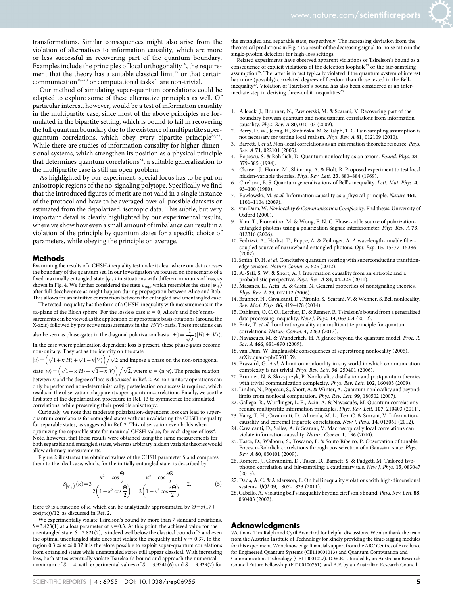transformations. Similar consequences might also arise from the violation of alternatives to information causality, which are more or less successful in recovering part of the quantum boundary. Examples include the principles of local orthogonality<sup>16</sup>, the requirement that the theory has a suitable classical  $\lim_{t \to \infty} t^{17}$  or that certain communication<sup>18-20</sup> or computational tasks<sup>21</sup> are non-trivial.

Our method of simulating super-quantum correlations could be adapted to explore some of these alternative principles as well. Of particular interest, however, would be a test of information causality in the multipartite case, since most of the above principles are formulated in the bipartite setting, which is bound to fail in recovering the full quantum boundary due to the existence of multipartite superquantum correlations, which obey every bipartite principle<sup>22,23</sup>. While there are studies of information causality for higher-dimensional systems, which strengthen its position as a physical principle that determines quantum correlations<sup>24</sup>, a suitable generalization to the multipartite case is still an open problem.

As highlighted by our experiment, special focus has to be put on anisotropic regions of the no-signaling polytope. Specifically we find that the introduced figures of merit are not valid in a single instance of the protocol and have to be averaged over all possible datasets or estimated from the depolarized, isotropic data. This subtle, but very important detail is clearly highlighted by our experimental results, where we show how even a small amount of imbalance can result in a violation of the principle by quantum states for a specific choice of parameters, while obeying the principle on average.

### Methods

Examining the results of a CHSH-inequality test make it clear where our data crosses the boundary of the quantum set. In our investigation we focused on the scenario of a fixed maximally entangled state  $|\psi_+\rangle$  in situations with different amounts of loss, as shown in Fig. 4. We further considered the state  $\rho_{\rm sep}$ , which resembles the state  $|\psi_{+}\rangle$ after full decoherence as might happen during propagation between Alice and Bob. This allows for an intuitive comparison between the entangled and unentangled case.

The tested inequality has the form of a CHSH-inequality with measurements in the <code>YZ-plane</code> of the Bloch sphere. For the lossless case  $\kappa=$  0, Alice's and Bob's measurements can be viewed as the application of appropriate basis-rotations (around the X-axis) followed by projective measurements in the  $|H/V\rangle$ -basis. These rotations can also be seen as phase-gates in the diagonal polarization basis  $|\pm\rangle = \frac{1}{\sqrt{2}} (|H\rangle \pm |V\rangle)$ .

In the case where polarization dependent loss is present, these phase-gates become non-unitary. They act as the identity on the state

 $|u\rangle = (\sqrt{1+k}|H\rangle + \sqrt{1-k}|V\rangle)/\sqrt{2}$  and impose a phase on the non-orthogonal

state  $\ket{w} = \left(\sqrt{1+\kappa}|H\rangle - \sqrt{1-\kappa}|V\rangle\right)/\sqrt{2}$ , where  $\kappa = \langle u|\psi\rangle$ . The precise relation

between  $\kappa$  and the degree of loss is discussed in Ref. 2. As non-unitary operations can only be performed non-deterministically, postselection on success is required, which results in the observation of apparent super-quantum correlations. Finally, we use the first step of the depolarization procedure in Ref. 13 to symmetrize the simulated correlations, while preserving their possible anisotropy.

Curiously, we note that moderate polarization-dependent loss can lead to superquantum correlations for entangled states without invalidating the CHSH inequality for separable states, as suggested in Ref. 2. This observation even holds when optimizing the separable state for maximal CHSH-value, for each degree of loss<sup>2</sup>. Note, however, that these results were obtained using the same measurements for both separable and entangled states, whereas arbitrary hidden variable theories would allow arbitrary measurements.

Figure 2 illustrates the obtained values of the CHSH parameter S and compares them to the ideal case, which, for the initially entangled state, is described by

$$
S_{|\psi_{+}\rangle}(\kappa) = 3 \frac{\kappa^{2} - \cos\frac{\Theta}{2}}{2\left(1 - \kappa^{2} \cos\frac{\Theta}{2}\right)} - \frac{\kappa^{2} - \cos\frac{3\Theta}{2}}{2\left(1 - \kappa^{2} \cos\frac{3\Theta}{2}\right)} + 2.
$$
 (5)

Here  $\Theta$  is a function of  $\kappa$ , which can be analytically approximated by  $\Theta = \pi(17 +$  $cos(\pi \kappa)$ /12, as discussed in Ref. 2.

We experimentally violate Tsirelson's bound by more than 7 standard deviations, S=3.423(1) at a loss parameter of  $\kappa$ =0.3. At this point, the achieved value for the unentangled state,  $S=2.821(2)$ , is indeed well below the classical bound of 3 and even the optimal unentangled state does not violate the inequality until  $\kappa \approx 0.37$ . In the region  $0.3 \le \kappa \le 0.37$  it is therefore possible to exploit super-quantum correlations from entangled states while unentangled states still appear classical. With increasing loss, both states eventually violate Tsirelson's bound and approach the numerical maximum of  $S = 4$ , with experimental values of  $S = 3.9341(6)$  and  $S = 3.929(2)$  for

the entangled and separable state, respectively. The increasing deviation from the theoretical predictions in Fig. 4 is a result of the decreasing signal-to-noise ratio in the single-photon detectors for high-loss settings.

Related experiments have observed apparent violations of Tsirelson's bound as a consequence of explicit violations of the detection loophole25 or the fair-sampling assumption<sup>26</sup>. The latter is in fact typically violated if the quantum system of interest has more (possibly) correlated degrees of freedom than those tested in the Bellinequality<sup>27</sup>. Violation of Tsirelson's bound has also been considered as an intermediate step in deriving three-qubit inequalities<sup>28</sup>.

- 1. Allcock, J., Brunner, N., Pawlowski, M. & Scarani, V. Recovering part of the boundary between quantum and nonquantum correlations from information causality. Phys. Rev. A 80, 040103 (2009).
- Berry, D. W., Jeong, H., Stobińska, M. & Ralph, T. C. Fair-sampling assumption is not necessary for testing local realism. Phys. Rev. A 81, 012109 (2010).
- 3. Barrett, J. et al. Non-local correlations as an information theoretic resource. Phys. Rev. A 71, 022101 (2005).
- 4. Popescu, S. & Rohrlich, D. Quantum nonlocality as an axiom. Found. Phys. 24, 379–385 (1994).
- 5. Clauser, J., Horne, M., Shimony, A. & Holt, R. Proposed experiment to test local hidden-variable theories. Phys. Rev. Lett. 23, 880-884 (1969).
- 6. Cirel'son, B. S. Quantum generalizations of Bell's inequality. Lett. Mat. Phys. 4, 93–100 (1980).
- 7. Pawlowski, M. et al. Information causality as a physical principle. Nature 461, 1101–1104 (2009).
- 8. van Dam, W. Nonlocality & Communication Complexity. Phd thesis, University of Oxford (2000).
- 9. Kim, T., Fiorentino, M. & Wong, F. N. C. Phase-stable source of polarizationentangled photons using a polarization Sagnac interferometer. Phys. Rev. A 73, 012316 (2006).
- 10. Fedrizzi, A., Herbst, T., Poppe, A. & Zeilinger, A. A wavelength-tunable fibercoupled source of narrowband entangled photons. Opt. Exp. 15, 15377–15386 (2007).
- 11. Smith, D. H. et al. Conclusive quantum steering with superconducting transitionedge sensors. Nature Comm. 3, 625 (2012).
- 12. Al-Safi, S. W. & Short, A. J. Information causality from an entropic and a probabilistic perspective. Phys. Rev. A 84, 042323 (2011).
- 13. Masanes, L., Acin, A. & Gisin, N. General properties of nonsignaling theories. Phys. Rev. A 73, 012112 (2006).
- 14. Brunner, N., Cavalcanti, D., Pironio, S., Scarani, V. & Wehner, S. Bell nonlocality. Rev. Mod. Phys. 86, 419–478 (2014).
- 15. Dahlsten, O. C. O., Lercher, D. & Renner, R. Tsirelson's bound from a generalized data processing inequality. New J. Phys. 14, 063024 (2012).
- 16. Fritz, T. et al. Local orthogonality as a multipartite principle for quantum correlations. Nature Comm. 4, 2263 (2013).
- 17. Navascues, M. & Wunderlich, H. A glance beyond the quantum model. Proc. R. Soc. A 466, 881-890 (2009).
- 18. van Dam, W. Implausible consequences of superstrong nonlocality (2005). arXiv:quant-ph/0501159.
- 19. Brassard, G. et al. A limit on nonlocality in any world in which communication complexity is not trivial. Phys. Rev. Lett. 96, 250401 (2006).
- 20. Brunner, N. & Skrzypczyk, P. Nonlocality distillation and postquantum theories with trivial communication complexity. Phys. Rev. Lett. 102, 160403 (2009).
- 21. Linden, N., Popescu, S., Short, A. & Winter, A. Quantum nonlocality and beyond: limits from nonlocal computation. Phys. Rev. Lett. 99, 180502 (2007).
- 22. Gallego, R., Würflinger, L. E., Acín, A. & Navascués, M. Quantum correlations require multipartite information principles. Phys. Rev. Lett. 107, 210403 (2011).
- 23. Yang, T. H., Cavalcanti, D., Almeida, M. L., Teo, C. & Scarani, V. Informationcausality and extremal tripartite correlations. New J. Phys. 14, 013061 (2012).
- 24. Cavalcanti, D., Salles, A. & Scarani, V. Macroscopically local correlations can violate information causality. Nature Comm. 1, 136 (2010).
- 25. Tasca, D., Walborn, S., Toscano, F. & Souto Ribeiro, P. Observation of tunable Popescu-Rohrlich correlations through postselection of a Gaussian state. Phys. Rev. A 80, 030101 (2009).
- 26. Romero, J., Giovannini, D., Tasca, D., Barnett, S. & Padgett, M. Tailored twophoton correlation and fair-sampling: a cautionary tale. New J. Phys. 15, 083047 (2013).
- 27. Dada, A. C. & Andersson, E. On bell inequality violations with high-dimensional systems. IJQI 09, 1807–1823 (2011).
- 28. Cabello, A. Violating bell's inequality beyond cirel'son's bound. Phys. Rev. Lett. 88, 060403 (2002).

### Acknowledgments

We thank Tim Ralph and Cyril Branciard for helpful discussions. We also thank the team from the Austrian Institute of Technology for kindly providing the time-tagging modules for this experiment. We acknowledge financial support from the ARC Centres of Excellence for Engineered Quantum Systems (CE110001013) and Quantum Computation and Communication Technology (CE110001027). D.W.B. is funded by an Australian Research Council Future Fellowship (FT100100761), and A.F. by an Australian Research Council